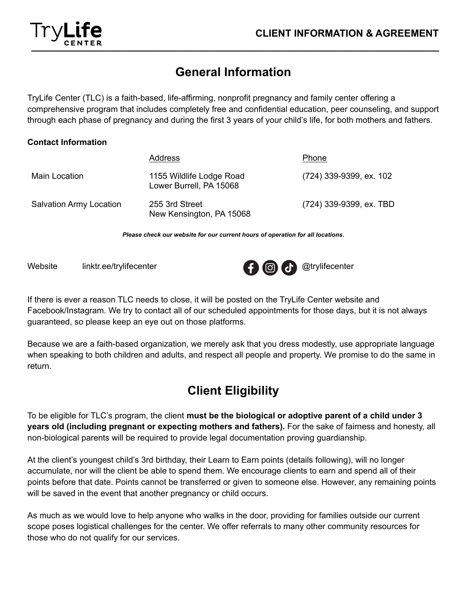## **General Information**

**\_\_\_\_\_\_\_\_\_\_\_\_\_\_\_\_\_\_\_\_\_\_\_\_\_\_\_\_\_\_\_\_\_\_\_\_\_\_\_\_\_\_\_\_\_\_\_\_\_\_\_\_\_\_\_\_\_\_\_\_\_\_\_\_\_\_\_\_\_\_\_\_\_\_**

TryLife Center (TLC) is a faith-based, life-affirming, nonprofit pregnancy and family center offering a comprehensive program that includes completely free and confidential education, peer counseling, and support through each phase of pregnancy and during the first 3 years of your child's life, for both mothers and fathers.

#### **Contact Information**

|                                | Address                                             | Phone                   |
|--------------------------------|-----------------------------------------------------|-------------------------|
| Main Location                  | 1155 Wildlife Lodge Road<br>Lower Burrell, PA 15068 | (724) 339-9399, ex. 102 |
| <b>Salvation Army Location</b> | 255 3rd Street<br>New Kensington, PA 15068          | (724) 339-9399, ex. TBD |

*Please check our website for our current hours of operation for all locations.*



If there is ever a reason TLC needs to close, it will be posted on the TryLife Center website and Facebook/Instagram. We try to contact all of our scheduled appointments for those days, but it is not always guaranteed, so please keep an eye out on those platforms.

Because we are a faith-based organization, we merely ask that you dress modestly, use appropriate language when speaking to both children and adults, and respect all people and property. We promise to do the same in return.

### **Client Eligibility**

To be eligible for TLC's program, the client **must be the biological or adoptive parent of a child under 3 years old (including pregnant or expecting mothers and fathers).** For the sake of fairness and honesty, all non-biological parents will be required to provide legal documentation proving guardianship.

At the client's youngest child's 3rd birthday, their Learn to Earn points (details following), will no longer accumulate, nor will the client be able to spend them. We encourage clients to earn and spend all of their points before that date. Points cannot be transferred or given to someone else. However, any remaining points will be saved in the event that another pregnancy or child occurs.

As much as we would love to help anyone who walks in the door, providing for families outside our current scope poses logistical challenges for the center. We offer referrals to many other community resources for those who do not qualify for our services.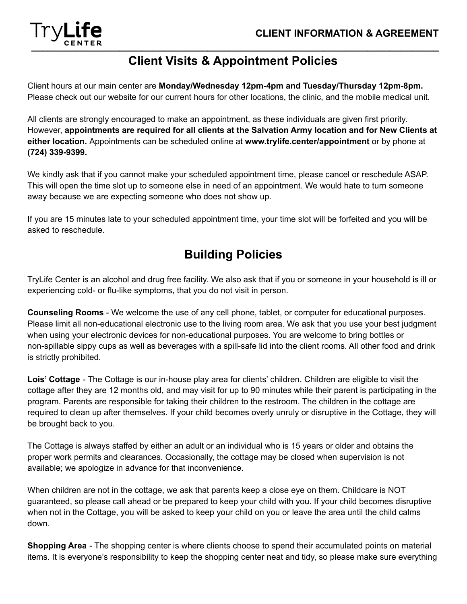

### **Client Visits & Appointment Policies**

Client hours at our main center are **Monday/Wednesday 12pm-4pm and Tuesday/Thursday 12pm-8pm.** Please check out our website for our current hours for other locations, the clinic, and the mobile medical unit.

All clients are strongly encouraged to make an appointment, as these individuals are given first priority. However, **appointments are required for all clients at the Salvation Army location and for New Clients at either location.** Appointments can be scheduled online at **www.trylife.center/appointment** or by phone at **(724) 339-9399.**

We kindly ask that if you cannot make your scheduled appointment time, please cancel or reschedule ASAP. This will open the time slot up to someone else in need of an appointment. We would hate to turn someone away because we are expecting someone who does not show up.

If you are 15 minutes late to your scheduled appointment time, your time slot will be forfeited and you will be asked to reschedule.

### **Building Policies**

TryLife Center is an alcohol and drug free facility. We also ask that if you or someone in your household is ill or experiencing cold- or flu-like symptoms, that you do not visit in person.

**Counseling Rooms** - We welcome the use of any cell phone, tablet, or computer for educational purposes. Please limit all non-educational electronic use to the living room area. We ask that you use your best judgment when using your electronic devices for non-educational purposes. You are welcome to bring bottles or non-spillable sippy cups as well as beverages with a spill-safe lid into the client rooms. All other food and drink is strictly prohibited.

**Lois' Cottage** - The Cottage is our in-house play area for clients' children. Children are eligible to visit the cottage after they are 12 months old, and may visit for up to 90 minutes while their parent is participating in the program. Parents are responsible for taking their children to the restroom. The children in the cottage are required to clean up after themselves. If your child becomes overly unruly or disruptive in the Cottage, they will be brought back to you.

The Cottage is always staffed by either an adult or an individual who is 15 years or older and obtains the proper work permits and clearances. Occasionally, the cottage may be closed when supervision is not available; we apologize in advance for that inconvenience.

When children are not in the cottage, we ask that parents keep a close eye on them. Childcare is NOT guaranteed, so please call ahead or be prepared to keep your child with you. If your child becomes disruptive when not in the Cottage, you will be asked to keep your child on you or leave the area until the child calms down.

**Shopping Area** - The shopping center is where clients choose to spend their accumulated points on material items. It is everyone's responsibility to keep the shopping center neat and tidy, so please make sure everything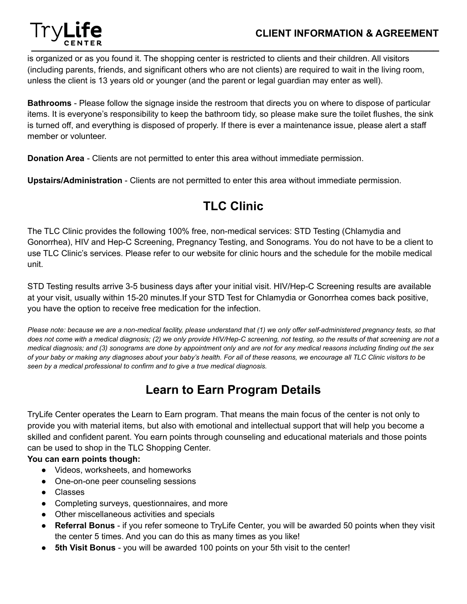

is organized or as you found it. The shopping center is restricted to clients and their children. All visitors (including parents, friends, and significant others who are not clients) are required to wait in the living room, unless the client is 13 years old or younger (and the parent or legal guardian may enter as well).

**Bathrooms** - Please follow the signage inside the restroom that directs you on where to dispose of particular items. It is everyone's responsibility to keep the bathroom tidy, so please make sure the toilet flushes, the sink is turned off, and everything is disposed of properly. If there is ever a maintenance issue, please alert a staff member or volunteer.

**Donation Area** - Clients are not permitted to enter this area without immediate permission.

**Upstairs/Administration** - Clients are not permitted to enter this area without immediate permission.

# **TLC Clinic**

The TLC Clinic provides the following 100% free, non-medical services: STD Testing (Chlamydia and Gonorrhea), HIV and Hep-C Screening, Pregnancy Testing, and Sonograms. You do not have to be a client to use TLC Clinic's services. Please refer to our website for clinic hours and the schedule for the mobile medical unit.

STD Testing results arrive 3-5 business days after your initial visit. HIV/Hep-C Screening results are available at your visit, usually within 15-20 minutes.If your STD Test for Chlamydia or Gonorrhea comes back positive, you have the option to receive free medication for the infection.

*Please note: because we are a non-medical facility, please understand that (1) we only offer self-administered pregnancy tests, so that does not come with a medical diagnosis; (2) we only provide HIV/Hep-C screening, not testing, so the results of that screening are not a medical diagnosis; and (3) sonograms are done by appointment only and are not for any medical reasons including finding out the sex of your baby or making any diagnoses about your baby's health. For all of these reasons, we encourage all TLC Clinic visitors to be seen by a medical professional to confirm and to give a true medical diagnosis.*

### **Learn to Earn Program Details**

TryLife Center operates the Learn to Earn program. That means the main focus of the center is not only to provide you with material items, but also with emotional and intellectual support that will help you become a skilled and confident parent. You earn points through counseling and educational materials and those points can be used to shop in the TLC Shopping Center.

#### **You can earn points though:**

- Videos, worksheets, and homeworks
- One-on-one peer counseling sessions
- Classes
- Completing surveys, questionnaires, and more
- Other miscellaneous activities and specials
- **● Referral Bonus** if you refer someone to TryLife Center, you will be awarded 50 points when they visit the center 5 times. And you can do this as many times as you like!
- **● 5th Visit Bonus** you will be awarded 100 points on your 5th visit to the center!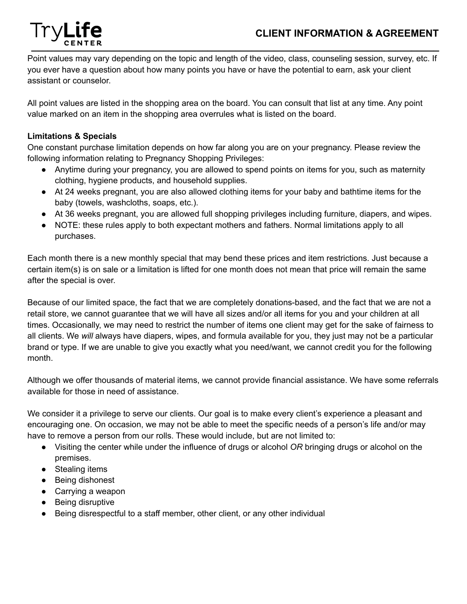#### **CLIENT INFORMATION & AGREEMENT**



Point values may vary depending on the topic and length of the video, class, counseling session, survey, etc. If you ever have a question about how many points you have or have the potential to earn, ask your client assistant or counselor.

All point values are listed in the shopping area on the board. You can consult that list at any time. Any point value marked on an item in the shopping area overrules what is listed on the board.

#### **Limitations & Specials**

One constant purchase limitation depends on how far along you are on your pregnancy. Please review the following information relating to Pregnancy Shopping Privileges:

- Anytime during your pregnancy, you are allowed to spend points on items for you, such as maternity clothing, hygiene products, and household supplies.
- At 24 weeks pregnant, you are also allowed clothing items for your baby and bathtime items for the baby (towels, washcloths, soaps, etc.).
- At 36 weeks pregnant, you are allowed full shopping privileges including furniture, diapers, and wipes.
- NOTE: these rules apply to both expectant mothers and fathers. Normal limitations apply to all purchases.

Each month there is a new monthly special that may bend these prices and item restrictions. Just because a certain item(s) is on sale or a limitation is lifted for one month does not mean that price will remain the same after the special is over.

Because of our limited space, the fact that we are completely donations-based, and the fact that we are not a retail store, we cannot guarantee that we will have all sizes and/or all items for you and your children at all times. Occasionally, we may need to restrict the number of items one client may get for the sake of fairness to all clients. We *will* always have diapers, wipes, and formula available for you, they just may not be a particular brand or type. If we are unable to give you exactly what you need/want, we cannot credit you for the following month.

Although we offer thousands of material items, we cannot provide financial assistance. We have some referrals available for those in need of assistance.

We consider it a privilege to serve our clients. Our goal is to make every client's experience a pleasant and encouraging one. On occasion, we may not be able to meet the specific needs of a person's life and/or may have to remove a person from our rolls. These would include, but are not limited to:

- Visiting the center while under the influence of drugs or alcohol *OR* bringing drugs or alcohol on the premises.
- Stealing items
- Being dishonest
- Carrying a weapon
- Being disruptive
- Being disrespectful to a staff member, other client, or any other individual